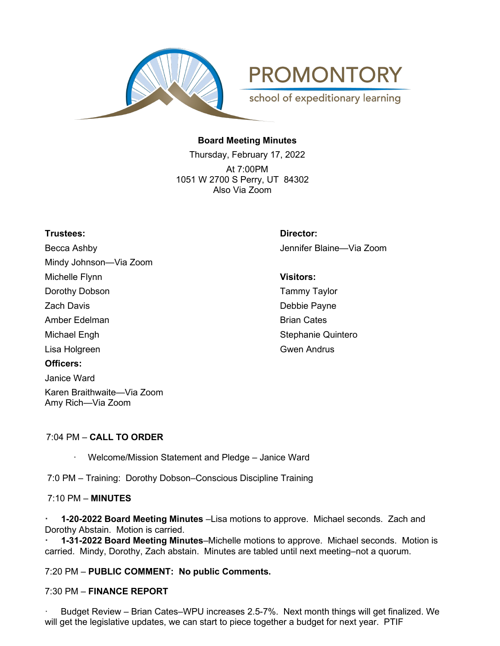

**PROMONTORY** 

school of expeditionary learning

# **Board Meeting Minutes**

Thursday, February 17, 2022 At 7:00PM 1051 W 2700 S Perry, UT 84302 Also Via Zoom

## **Trustees: Director:**

Becca Ashby Jennifer Blaine—Via Zoom Mindy Johnson—Via Zoom Michelle Flynn **Visitors:** Dorothy Dobson **Tammy Taylor** Zach Davis **Debbie Payne** Amber Edelman Brian Cates Michael Engh Stephanie Quintero Lisa Holgreen Gwenner Gwen Andrus **Officers:** Janice Ward Karen Braithwaite—Via Zoom Amy Rich—Via Zoom

### 7:04 PM – **CALL TO ORDER**

Welcome/Mission Statement and Pledge - Janice Ward

7:0 PM – Training: Dorothy Dobson–Conscious Discipline Training

### 7:10 PM – **MINUTES**

**· 1-20-2022 Board Meeting Minutes** –Lisa motions to approve. Michael seconds. Zach and Dorothy Abstain. Motion is carried.

**· 1-31-2022 Board Meeting Minutes**–Michelle motions to approve. Michael seconds. Motion is carried. Mindy, Dorothy, Zach abstain. Minutes are tabled until next meeting–not a quorum.

7:20 PM – **PUBLIC COMMENT: No public Comments.**

#### 7:30 PM – **FINANCE REPORT**

Budget Review - Brian Cates-WPU increases 2.5-7%. Next month things will get finalized. We will get the legislative updates, we can start to piece together a budget for next year. PTIF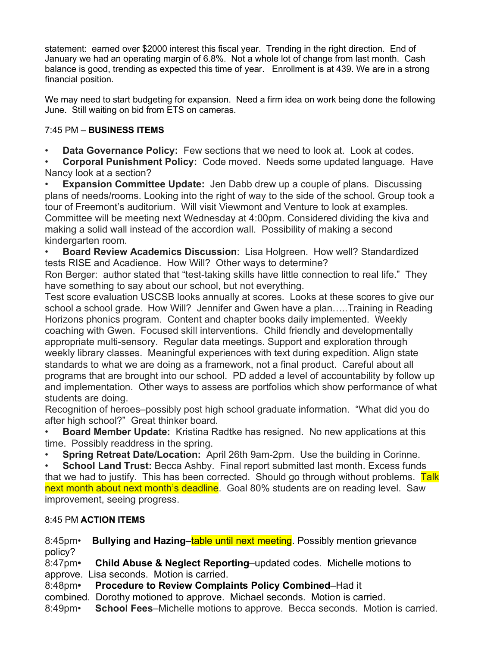statement: earned over \$2000 interest this fiscal year. Trending in the right direction. End of January we had an operating margin of 6.8%. Not a whole lot of change from last month. Cash balance is good, trending as expected this time of year. Enrollment is at 439. We are in a strong financial position.

We may need to start budgeting for expansion. Need a firm idea on work being done the following June. Still waiting on bid from ETS on cameras.

# 7:45 PM – **BUSINESS ITEMS**

**Data Governance Policy:** Few sections that we need to look at. Look at codes.

• **Corporal Punishment Policy:** Code moved. Needs some updated language. Have Nancy look at a section?

• **Expansion Committee Update:** Jen Dabb drew up a couple of plans. Discussing plans of needs/rooms. Looking into the right of way to the side of the school. Group took a tour of Freemont's auditorium. Will visit Viewmont and Venture to look at examples. Committee will be meeting next Wednesday at 4:00pm. Considered dividing the kiva and making a solid wall instead of the accordion wall. Possibility of making a second kindergarten room.

• **Board Review Academics Discussion**: Lisa Holgreen. How well? Standardized tests RISE and Acadience. How Will? Other ways to determine?

Ron Berger: author stated that "test-taking skills have little connection to real life." They have something to say about our school, but not everything.

Test score evaluation USCSB looks annually at scores. Looks at these scores to give our school a school grade. How Will? Jennifer and Gwen have a plan…..Training in Reading Horizons phonics program. Content and chapter books daily implemented. Weekly coaching with Gwen. Focused skill interventions. Child friendly and developmentally appropriate multi-sensory. Regular data meetings. Support and exploration through weekly library classes. Meaningful experiences with text during expedition. Align state standards to what we are doing as a framework, not a final product. Careful about all programs that are brought into our school. PD added a level of accountability by follow up and implementation. Other ways to assess are portfolios which show performance of what students are doing.

Recognition of heroes–possibly post high school graduate information. "What did you do after high school?" Great thinker board.

• **Board Member Update:** Kristina Radtke has resigned. No new applications at this time. Possibly readdress in the spring.

• **Spring Retreat Date/Location:** April 26th 9am-2pm. Use the building in Corinne.

**School Land Trust:** Becca Ashby. Final report submitted last month. Excess funds that we had to justify. This has been corrected. Should go through without problems. Talk next month about next month's deadline. Goal 80% students are on reading level. Saw improvement, seeing progress.

# 8:45 PM **ACTION ITEMS**

8:45pm• **Bullying and Hazing**–table until next meeting. Possibly mention grievance policy?

8:47pm**• Child Abuse & Neglect Reporting**–updated codes. Michelle motions to approve. Lisa seconds. Motion is carried.

8:48pm**• Procedure to Review Complaints Policy Combined**–Had it

combined. Dorothy motioned to approve. Michael seconds. Motion is carried.

8:49pm• **School Fees**–Michelle motions to approve. Becca seconds. Motion is carried.